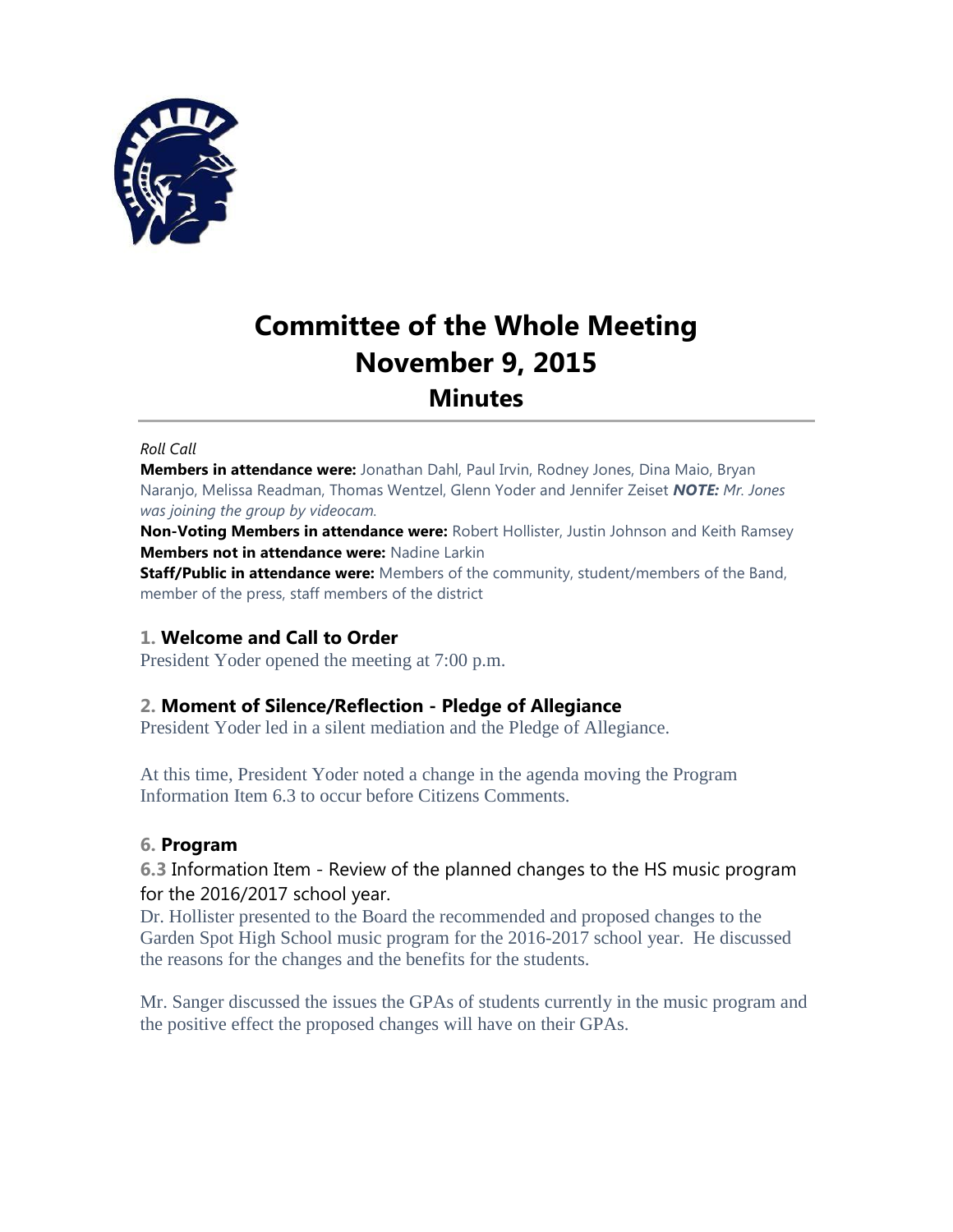

# **Committee of the Whole Meeting November 9, 2015 Minutes**

#### *Roll Call*

**Members in attendance were:** Jonathan Dahl, Paul Irvin, Rodney Jones, Dina Maio, Bryan Naranjo, Melissa Readman, Thomas Wentzel, Glenn Yoder and Jennifer Zeiset *NOTE: Mr. Jones was joining the group by videocam.*

**Non-Voting Members in attendance were:** Robert Hollister, Justin Johnson and Keith Ramsey **Members not in attendance were:** Nadine Larkin

**Staff/Public in attendance were:** Members of the community, student/members of the Band, member of the press, staff members of the district

## **1. Welcome and Call to Order**

President Yoder opened the meeting at 7:00 p.m.

## **2. Moment of Silence/Reflection - Pledge of Allegiance**

President Yoder led in a silent mediation and the Pledge of Allegiance.

At this time, President Yoder noted a change in the agenda moving the Program Information Item 6.3 to occur before Citizens Comments.

#### **6. Program**

**6.3** Information Item - Review of the planned changes to the HS music program for the 2016/2017 school year.

Dr. Hollister presented to the Board the recommended and proposed changes to the Garden Spot High School music program for the 2016-2017 school year. He discussed the reasons for the changes and the benefits for the students.

Mr. Sanger discussed the issues the GPAs of students currently in the music program and the positive effect the proposed changes will have on their GPAs.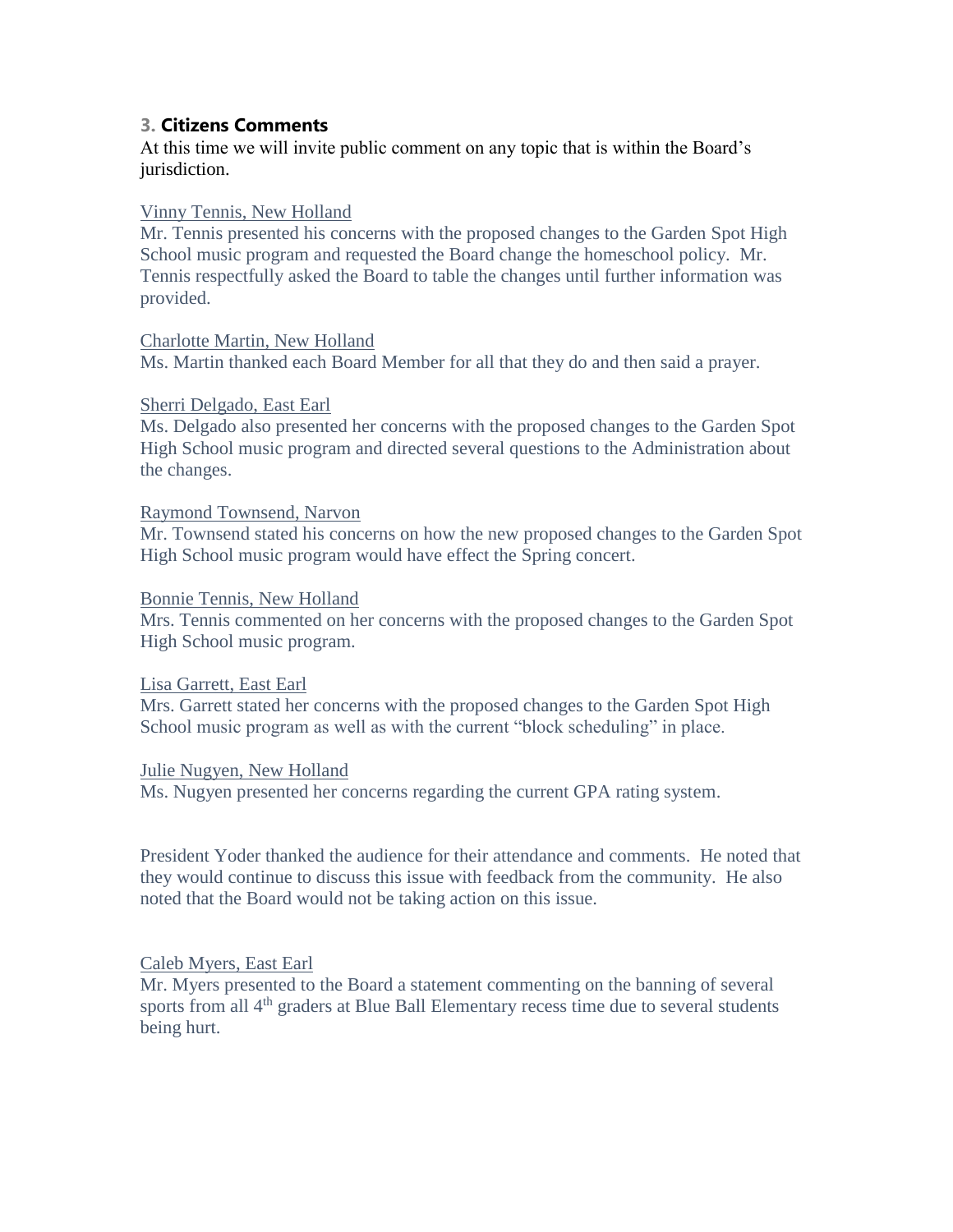## **3. Citizens Comments**

At this time we will invite public comment on any topic that is within the Board's jurisdiction.

#### Vinny Tennis, New Holland

Mr. Tennis presented his concerns with the proposed changes to the Garden Spot High School music program and requested the Board change the homeschool policy. Mr. Tennis respectfully asked the Board to table the changes until further information was provided.

#### Charlotte Martin, New Holland

Ms. Martin thanked each Board Member for all that they do and then said a prayer.

#### Sherri Delgado, East Earl

Ms. Delgado also presented her concerns with the proposed changes to the Garden Spot High School music program and directed several questions to the Administration about the changes.

#### Raymond Townsend, Narvon

Mr. Townsend stated his concerns on how the new proposed changes to the Garden Spot High School music program would have effect the Spring concert.

#### Bonnie Tennis, New Holland

Mrs. Tennis commented on her concerns with the proposed changes to the Garden Spot High School music program.

#### Lisa Garrett, East Earl

Mrs. Garrett stated her concerns with the proposed changes to the Garden Spot High School music program as well as with the current "block scheduling" in place.

#### Julie Nugyen, New Holland

Ms. Nugyen presented her concerns regarding the current GPA rating system.

President Yoder thanked the audience for their attendance and comments. He noted that they would continue to discuss this issue with feedback from the community. He also noted that the Board would not be taking action on this issue.

#### Caleb Myers, East Earl

Mr. Myers presented to the Board a statement commenting on the banning of several sports from all 4<sup>th</sup> graders at Blue Ball Elementary recess time due to several students being hurt.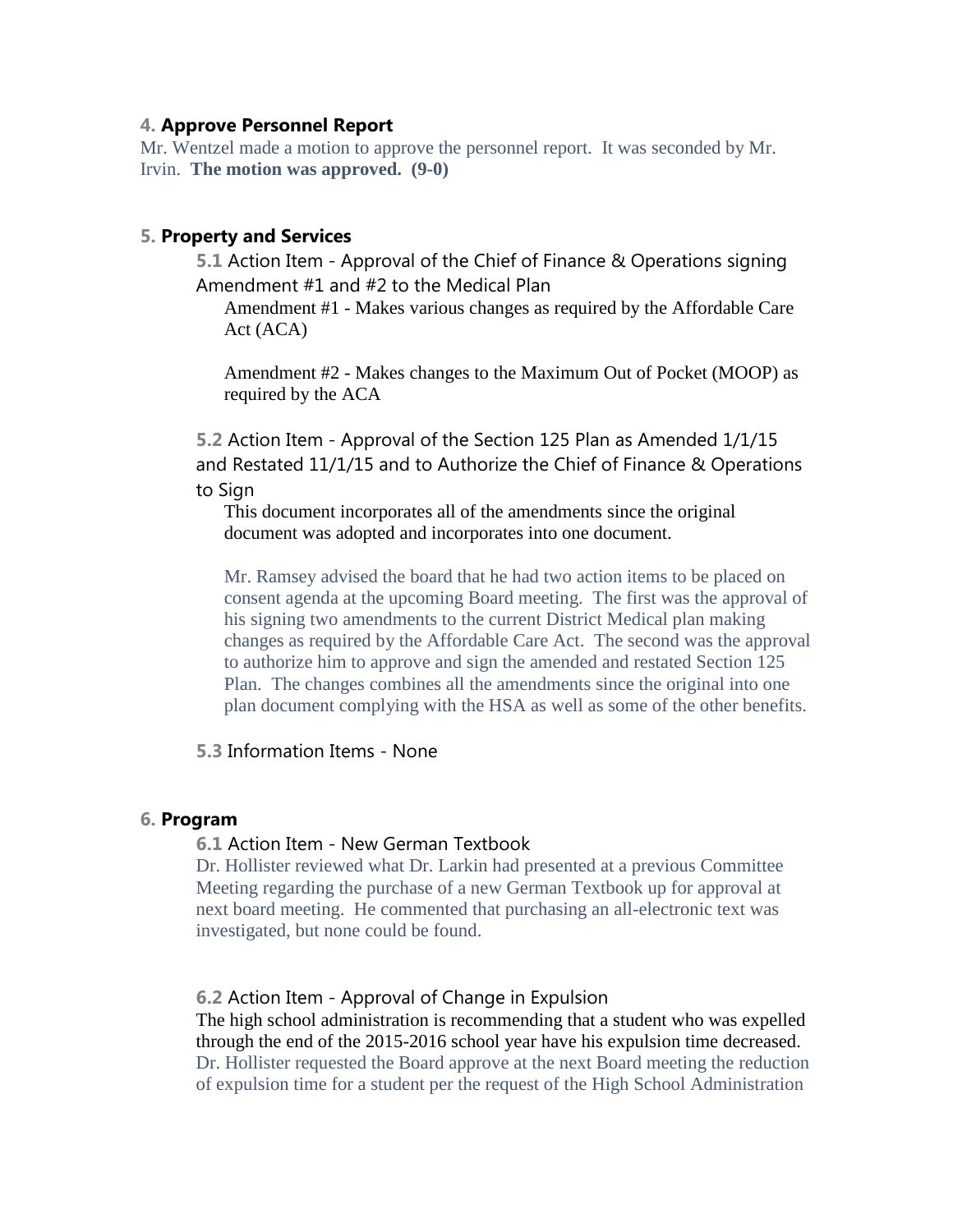## **4. Approve Personnel Report**

Mr. Wentzel made a motion to approve the personnel report. It was seconded by Mr. Irvin. **The motion was approved. (9-0)**

## **5. Property and Services**

**5.1** Action Item - Approval of the Chief of Finance & Operations signing Amendment #1 and #2 to the Medical Plan

Amendment #1 - Makes various changes as required by the Affordable Care Act (ACA)

Amendment #2 - Makes changes to the Maximum Out of Pocket (MOOP) as required by the ACA

**5.2** Action Item - Approval of the Section 125 Plan as Amended 1/1/15 and Restated 11/1/15 and to Authorize the Chief of Finance & Operations to Sign

This document incorporates all of the amendments since the original document was adopted and incorporates into one document.

Mr. Ramsey advised the board that he had two action items to be placed on consent agenda at the upcoming Board meeting. The first was the approval of his signing two amendments to the current District Medical plan making changes as required by the Affordable Care Act. The second was the approval to authorize him to approve and sign the amended and restated Section 125 Plan. The changes combines all the amendments since the original into one plan document complying with the HSA as well as some of the other benefits.

## **5.3** Information Items - None

#### **6. Program**

#### **6.1** Action Item - New German Textbook

Dr. Hollister reviewed what Dr. Larkin had presented at a previous Committee Meeting regarding the purchase of a new German Textbook up for approval at next board meeting. He commented that purchasing an all-electronic text was investigated, but none could be found.

#### **6.2** Action Item - Approval of Change in Expulsion

The high school administration is recommending that a student who was expelled through the end of the 2015-2016 school year have his expulsion time decreased. Dr. Hollister requested the Board approve at the next Board meeting the reduction of expulsion time for a student per the request of the High School Administration